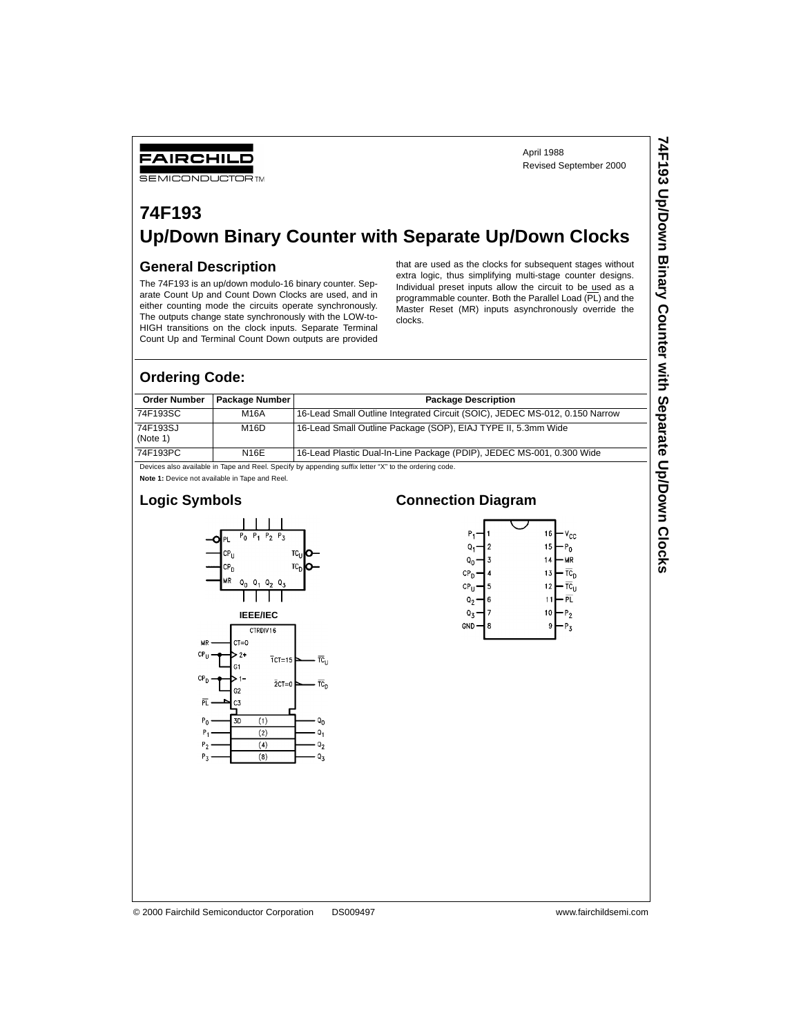April 1988 Revised September 2000

## **74F193 Up/Down Binary Counter with Separate Up/Down Clocks**

## **General Description**

FAIRCHILD **SEMICONDUCTOR TM** 

The 74F193 is an up/down modulo-16 binary counter. Separate Count Up and Count Down Clocks are used, and in either counting mode the circuits operate synchronously. The outputs change state synchronously with the LOW-to-HIGH transitions on the clock inputs. Separate Terminal Count Up and Terminal Count Down outputs are provided

that are used as the clocks for subsequent stages without extra logic, thus simplifying multi-stage counter designs. Individual preset inputs allow the circuit to be used as a programmable counter. Both the Parallel Load (PL) and the Master Reset (MR) inputs asynchronously override the clocks.

## **Ordering Code:**

| <b>Order Number</b>  | l Package Number I | <b>Package Description</b>                                                  |
|----------------------|--------------------|-----------------------------------------------------------------------------|
| 74F193SC             | M16A               | 16-Lead Small Outline Integrated Circuit (SOIC), JEDEC MS-012, 0.150 Narrow |
| 74F193SJ<br>(Note 1) | M <sub>16</sub> D  | 16-Lead Small Outline Package (SOP), EIAJ TYPE II, 5.3mm Wide               |
| 74F193PC             | <b>N16E</b>        | 16-Lead Plastic Dual-In-Line Package (PDIP), JEDEC MS-001, 0.300 Wide       |

Devices also available in Tape and Reel. Specify by appending suffix letter "X" to the ordering code.

**Note 1:** Device not available in Tape and Reel.

### **Logic Symbols**



## **Connection Diagram**



© 2000 Fairchild Semiconductor Corporation DS009497 www.fairchildsemi.com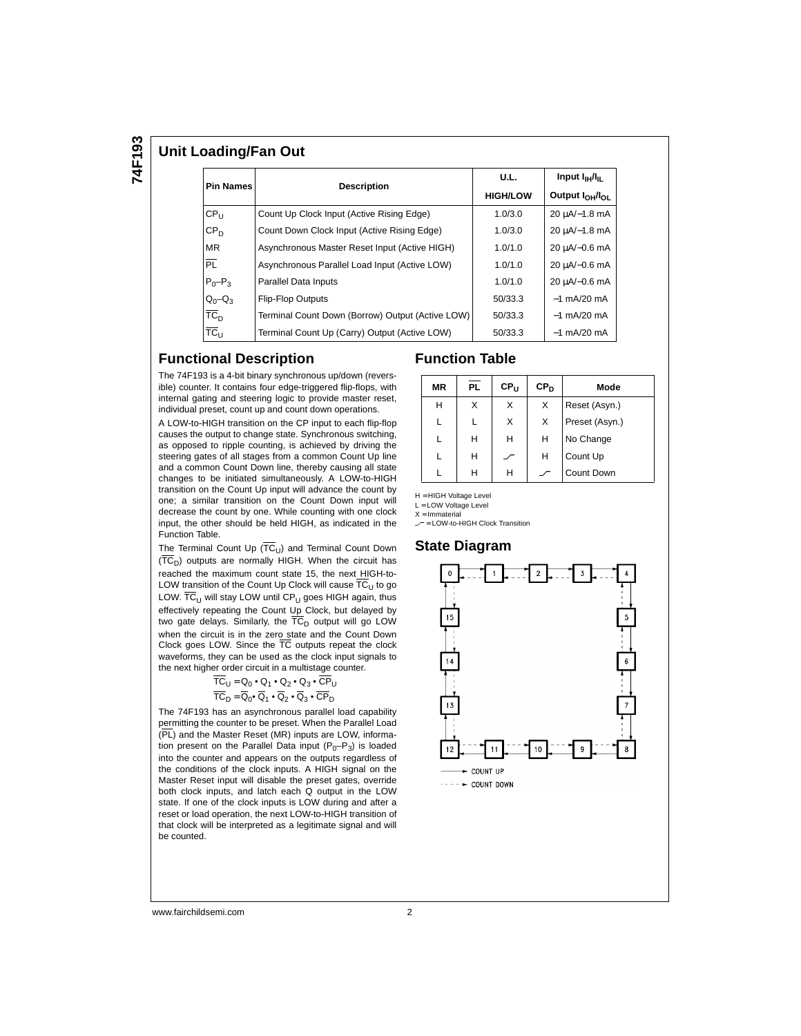## **Unit Loading/Fan Out**

| <b>Pin Names</b> |                                                  | U.L.            | Input $I_{\rm H}/I_{\rm H}$             |  |
|------------------|--------------------------------------------------|-----------------|-----------------------------------------|--|
|                  | <b>Description</b>                               | <b>HIGH/LOW</b> | Output I <sub>OH</sub> /I <sub>OL</sub> |  |
| CP <sub>U</sub>  | Count Up Clock Input (Active Rising Edge)        | 1.0/3.0         | 20 µA/-1.8 mA                           |  |
| CP <sub>D</sub>  | Count Down Clock Input (Active Rising Edge)      | 1.0/3.0         | 20 uA/-1.8 mA                           |  |
| <b>MR</b>        | Asynchronous Master Reset Input (Active HIGH)    | 1.0/1.0         | 20 uA/-0.6 mA                           |  |
| $\overline{PL}$  | Asynchronous Parallel Load Input (Active LOW)    | 1.0/1.0         | 20 µA/-0.6 mA                           |  |
| $P_0 - P_3$      | Parallel Data Inputs                             | 1.0/1.0         | 20 uA/-0.6 mA                           |  |
| $Q_0 - Q_3$      | <b>Flip-Flop Outputs</b>                         | 50/33.3         | $-1$ mA/20 mA                           |  |
| TC <sub>D</sub>  | Terminal Count Down (Borrow) Output (Active LOW) | 50/33.3         | $-1$ mA/20 mA                           |  |
| $TC_{U}$         | Terminal Count Up (Carry) Output (Active LOW)    | 50/33.3         | $-1$ mA/20 mA                           |  |

### **Functional Description**

### The 74F193 is a 4-bit binary synchronous up/down (reversible) counter. It contains four edge-triggered flip-flops, with internal gating and steering logic to provide master reset, individual preset, count up and count down operations.

A LOW-to-HIGH transition on the CP input to each flip-flop causes the output to change state. Synchronous switching, as opposed to ripple counting, is achieved by driving the steering gates of all stages from a common Count Up line and a common Count Down line, thereby causing all state changes to be initiated simultaneously. A LOW-to-HIGH transition on the Count Up input will advance the count by one; a similar transition on the Count Down input will decrease the count by one. While counting with one clock input, the other should be held HIGH, as indicated in the Function Table.

The Terminal Count Up  $(\overline{TC}_U)$  and Terminal Count Down  $( \overline{TC}_{D} )$  outputs are normally HIGH. When the circuit has reached the maximum count state 15, the next HIGH-to-LOW transition of the Count Up Clock will cause  $\overline{TC}_U$  to go LOW.  $\overline{\text{TC}}_{\text{U}}$  will stay LOW until CP<sub>U</sub> goes HIGH again, thus effectively repeating the Count Up Clock, but delayed by two gate delays. Similarly, the  $\overline{TC}_D$  output will go LOW when the circuit is in the zero state and the Count Down Clock goes LOW. Since the TC outputs repeat the clock waveforms, they can be used as the clock input signals to the next higher order circuit in a multistage counter.

$$
\begin{aligned}\n\overline{TC}_U &= \mathsf{Q}_0 \bullet \mathsf{Q}_1 \bullet \mathsf{Q}_2 \bullet \mathsf{Q}_3 \bullet \overline{\mathsf{CP}}_U \\
\overline{TC}_D &= \overline{\mathsf{Q}}_0 \bullet \overline{\mathsf{Q}}_1 \bullet \overline{\mathsf{Q}}_2 \bullet \overline{\mathsf{Q}}_3 \bullet \overline{\mathsf{CP}}_D\n\end{aligned}
$$

The 74F193 has an asynchronous parallel load capability permitting the counter to be preset. When the Parallel Load (PL) and the Master Reset (MR) inputs are LOW, information present on the Parallel Data input  $(P_0-P_3)$  is loaded into the counter and appears on the outputs regardless of the conditions of the clock inputs. A HIGH signal on the Master Reset input will disable the preset gates, override both clock inputs, and latch each Q output in the LOW state. If one of the clock inputs is LOW during and after a reset or load operation, the next LOW-to-HIGH transition of that clock will be interpreted as a legitimate signal and will be counted.

## **Function Table**

| <b>MR</b> | <b>PL</b> | $CP_{11}$ | CP <sub>D</sub> | Mode           |
|-----------|-----------|-----------|-----------------|----------------|
| н         | X         | х         | X               | Reset (Asyn.)  |
|           |           | X         | X               | Preset (Asyn.) |
|           | H         | н         | н               | No Change      |
|           | н         |           | н               | Count Up       |
|           | н         | н         |                 | Count Down     |

H = HIGH Voltage Level

L = LOW Voltage Level

 $X = Immaterial$ 

 $r =$  LOW-to-HIGH Clock Transition

## **State Diagram**



www.fairchildsemi.com 2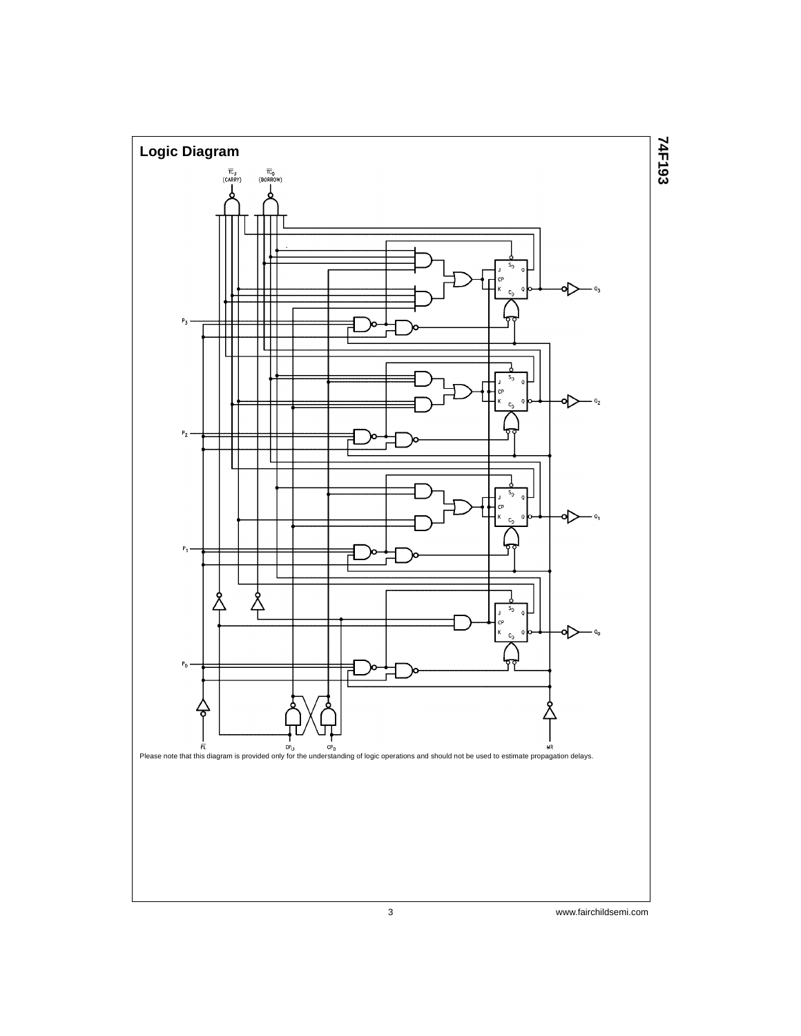

3 www.fairchildsemi.com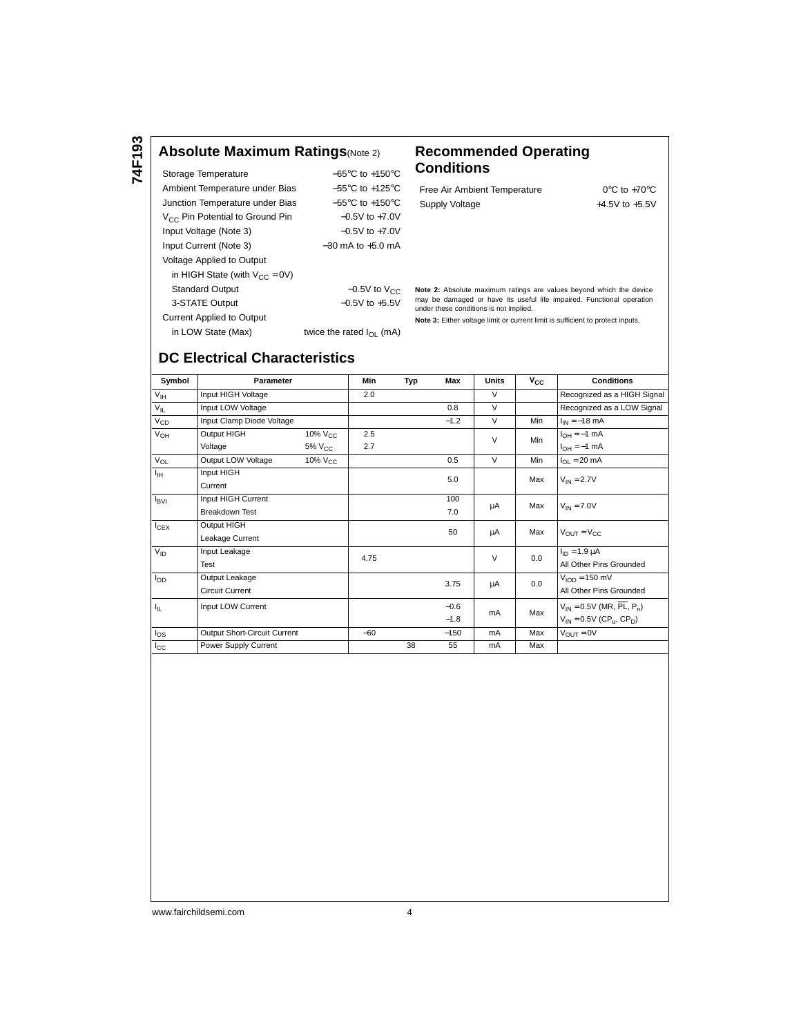**74F193**

## **Absolute Maximum Ratings**(Note 2) **Recommended Operating**

| Storage Temperature                         | $-65^{\circ}$ C to $+150^{\circ}$ C |
|---------------------------------------------|-------------------------------------|
| Ambient Temperature under Bias              | $-55^{\circ}$ C to $+125^{\circ}$ C |
| Junction Temperature under Bias             | $-55^{\circ}$ C to $+150^{\circ}$ C |
| V <sub>CC</sub> Pin Potential to Ground Pin | $-0.5V$ to $+7.0V$                  |
| Input Voltage (Note 3)                      | $-0.5V$ to $+7.0V$                  |
| Input Current (Note 3)                      | $-30$ mA to $+5.0$ mA               |
| <b>Voltage Applied to Output</b>            |                                     |
| in HIGH State (with $V_{CC} = 0V$ )         |                                     |
| <b>Standard Output</b>                      | $-0.5V$ to $V_{CC}$                 |
| 3-STATE Output                              | $-0.5V$ to $+5.5V$                  |
| <b>Current Applied to Output</b>            |                                     |
| in LOW State (Max)                          | twice the rated $I_{\Omega}$ (mA)   |

# **Conditions**

| Free Air Ambient Temperature |  |
|------------------------------|--|
| Supply Voltage               |  |

 $0^\circ \text{C}$  to +70°C +4.5V to  $+5.5V$ 

Standard Output −0.5V to V<sub>CC</sub> Note 2: Absolute maximum ratings are values beyond which the device may be damaged or have its useful life impaired. Functional operation under these conditions is not implied.

**Note 3:** Either voltage limit or current limit is sufficient to protect inputs.

## **DC Electrical Characteristics**

| Symbol           | Parameter                    |                 | Min   | Typ    | Max    | <b>Units</b> | $\mathsf{v}_{\mathsf{cc}}$ | <b>Conditions</b>                                       |  |
|------------------|------------------------------|-----------------|-------|--------|--------|--------------|----------------------------|---------------------------------------------------------|--|
| $V_{\text{IH}}$  | Input HIGH Voltage           |                 | 2.0   |        |        | V            |                            | Recognized as a HIGH Signal                             |  |
| $V_{IL}$         | Input LOW Voltage            |                 |       |        | 0.8    | $\vee$       |                            | Recognized as a LOW Signal                              |  |
| $V_{CD}$         | Input Clamp Diode Voltage    |                 |       |        | $-1.2$ | $\vee$       | Min                        | $I_{IN} = -18$ mA                                       |  |
| $V_{OH}$         | Output HIGH                  | $10\%$ $V_{CC}$ | 2.5   |        |        | V            | Min                        | $I_{OH} = -1$ mA                                        |  |
|                  | Voltage                      | $5\%$ $V_{CC}$  | 2.7   |        |        |              |                            | $I_{OH} = -1$ mA                                        |  |
| $V_{OL}$         | Output LOW Voltage           | $10\%$ $V_{CC}$ |       |        | 0.5    | $\vee$       | Min                        | $I_{OL}$ = 20 mA                                        |  |
| Iн               | Input HIGH                   |                 |       |        | 5.0    |              | Max                        | $V_{IN} = 2.7V$                                         |  |
|                  | Current                      |                 |       |        |        |              |                            |                                                         |  |
| $I_{\text{BVI}}$ | Input HIGH Current           |                 |       |        | 100    | μA           | Max                        | $V_{IN} = 7.0V$                                         |  |
|                  | <b>Breakdown Test</b>        |                 |       |        | 7.0    |              |                            |                                                         |  |
| $I_{CEX}$        | Output HIGH                  |                 |       |        | 50     | μA           | Max                        | $V_{\text{OUT}} = V_{\text{CC}}$                        |  |
|                  | Leakage Current              |                 |       |        |        |              |                            |                                                         |  |
| $V_{ID}$         | Input Leakage                |                 | 4.75  |        |        | V            | 0.0                        | $I_{ID} = 1.9 \mu A$                                    |  |
|                  | Test                         |                 |       |        |        |              |                            | All Other Pins Grounded                                 |  |
| $I_{OD}$         | Output Leakage               |                 |       |        | 3.75   | μA           | 0.0                        | $V_{\text{IOD}} = 150 \text{ mV}$                       |  |
|                  | Circuit Current              |                 |       |        |        |              |                            | All Other Pins Grounded                                 |  |
| Ιp.              | Input LOW Current            |                 |       |        | $-0.6$ |              |                            | $V_{IN} = 0.5V$ (MR, $\overline{PL}$ , P <sub>n</sub> ) |  |
|                  |                              |                 |       | $-1.8$ |        | mA           | Max                        | $V_{IN} = 0.5V$ (CP <sub>u</sub> , CP <sub>n</sub> )    |  |
| $I_{OS}$         | Output Short-Circuit Current |                 | $-60$ |        | $-150$ | mA           | Max                        | $V_{\text{OUT}} = 0V$                                   |  |
| $I_{\rm CC}$     | Power Supply Current         |                 |       | 38     | 55     | mA           | Max                        |                                                         |  |